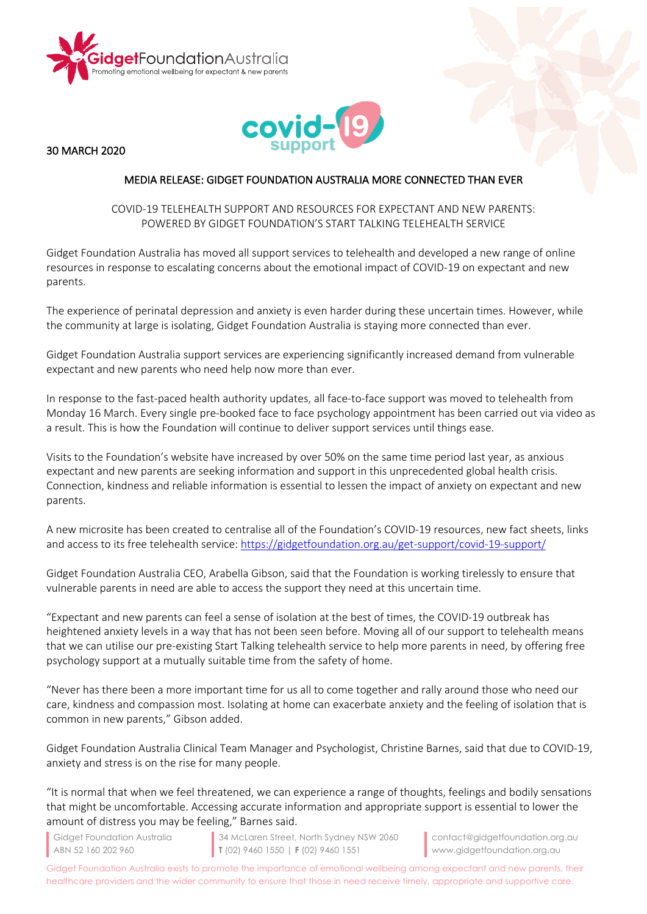



30 MARCH 2020

## MEDIA RELEASE: GIDGET FOUNDATION AUSTRALIA MORE CONNECTED THAN EVER

## COVID-19 TELEHEALTH SUPPORT AND RESOURCES FOR EXPECTANT AND NEW PARENTS: POWERED BY GIDGET FOUNDATION'S START TALKING TELEHEALTH SERVICE

Gidget Foundation Australia has moved all support services to telehealth and developed a new range of online resources in response to escalating concerns about the emotional impact of COVID-19 on expectant and new parents.

The experience of perinatal depression and anxiety is even harder during these uncertain times. However, while the community at large is isolating, Gidget Foundation Australia is staying more connected than ever.

Gidget Foundation Australia support services are experiencing significantly increased demand from vulnerable expectant and new parents who need help now more than ever.

In response to the fast-paced health authority updates, all face-to-face support was moved to telehealth from Monday 16 March. Every single pre-booked face to face psychology appointment has been carried out via video as a result. This is how the Foundation will continue to deliver support services until things ease.

Visits to the Foundation's website have increased by over 50% on the same time period last year, as anxious expectant and new parents are seeking information and support in this unprecedented global health crisis. Connection, kindness and reliable information is essential to lessen the impact of anxiety on expectant and new parents.

A new microsite has been created to centralise all of the Foundation's COVID-19 resources, new fact sheets, links and access to its free telehealth service: https://gidgetfoundation.org.au/get-support/covid-19-support/

Gidget Foundation Australia CEO, Arabella Gibson, said that the Foundation is working tirelessly to ensure that vulnerable parents in need are able to access the support they need at this uncertain time.

"Expectant and new parents can feel a sense of isolation at the best of times, the COVID-19 outbreak has heightened anxiety levels in a way that has not been seen before. Moving all of our support to telehealth means that we can utilise our pre-existing Start Talking telehealth service to help more parents in need, by offering free psychology support at a mutually suitable time from the safety of home.

"Never has there been a more important time for us all to come together and rally around those who need our care, kindness and compassion most. Isolating at home can exacerbate anxiety and the feeling of isolation that is common in new parents," Gibson added.

Gidget Foundation Australia Clinical Team Manager and Psychologist, Christine Barnes, said that due to COVID-19, anxiety and stress is on the rise for many people.

"It is normal that when we feel threatened, we can experience a range of thoughts, feelings and bodily sensations that might be uncomfortable. Accessing accurate information and appropriate support is essential to lower the amount of distress you may be feeling," Barnes said.

Gidget Foundation Australia ABN 52 160 202 960

34 McLaren Street, North Sydney NSW 2060 **T** (02) 9460 1550 | **F** (02) 9460 1551

contact@gidgetfoundation.org.au www.gidgetfoundation.org.au

Gidget Foundation Australia exists to promote the importance of emotional wellbeing among expectant and new parents, their healthcare providers and the wider community to ensure that those in need receive timely, appropriate and supportive care.